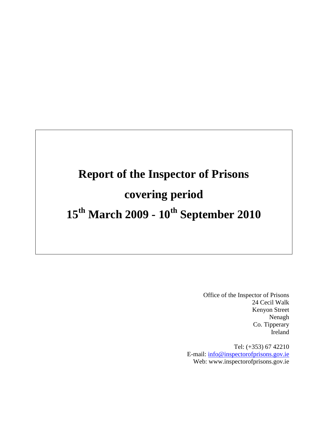# **Report of the Inspector of Prisons covering period 15th March 2009 - 10th September 2010**

Office of the Inspector of Prisons 24 Cecil Walk Kenyon Street Nenagh Co. Tipperary Ireland

Tel: (+353) 67 42210 E-mail: [info@inspectorofprisons.gov.ie](mailto:info@inspectorofprisons.gov.ie) Web: www.inspectorofprisons.gov.ie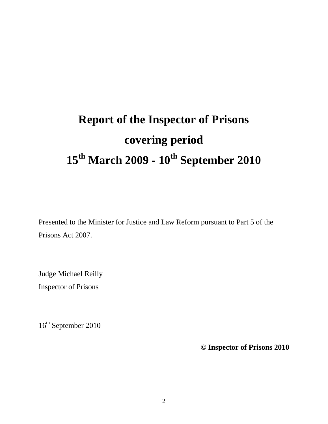# **Report of the Inspector of Prisons covering period 15th March 2009 - 10th September 2010**

Presented to the Minister for Justice and Law Reform pursuant to Part 5 of the Prisons Act 2007.

Judge Michael Reilly Inspector of Prisons

16<sup>th</sup> September 2010

**© Inspector of Prisons 2010**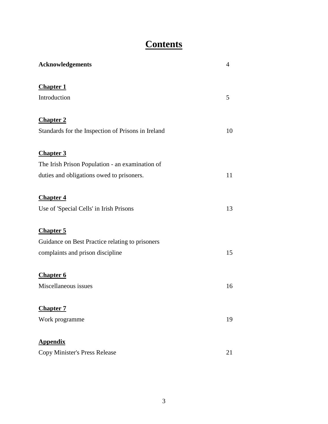# **Contents**

| Acknowledgements                                   | $\overline{4}$ |
|----------------------------------------------------|----------------|
| <b>Chapter 1</b>                                   |                |
| Introduction                                       | 5              |
| <b>Chapter 2</b>                                   |                |
| Standards for the Inspection of Prisons in Ireland | 10             |
| <b>Chapter 3</b>                                   |                |
| The Irish Prison Population - an examination of    |                |
| duties and obligations owed to prisoners.          | 11             |
| <b>Chapter 4</b>                                   |                |
| Use of 'Special Cells' in Irish Prisons            | 13             |
| <b>Chapter 5</b>                                   |                |
| Guidance on Best Practice relating to prisoners    |                |
| complaints and prison discipline                   | 15             |
| <b>Chapter 6</b>                                   |                |
| Miscellaneous issues                               | 16             |
| <b>Chapter 7</b>                                   |                |
| Work programme                                     | 19             |
| <b>Appendix</b>                                    |                |
| Copy Minister's Press Release                      | 21             |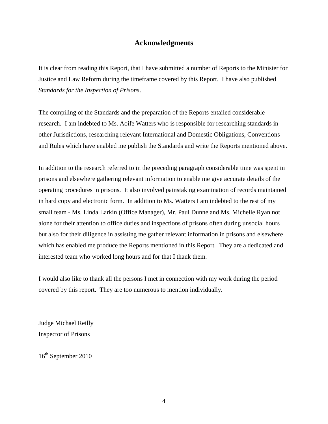## **Acknowledgments**

It is clear from reading this Report, that I have submitted a number of Reports to the Minister for Justice and Law Reform during the timeframe covered by this Report. I have also published *Standards for the Inspection of Prisons*.

The compiling of the Standards and the preparation of the Reports entailed considerable research. I am indebted to Ms. Aoife Watters who is responsible for researching standards in other Jurisdictions, researching relevant International and Domestic Obligations, Conventions and Rules which have enabled me publish the Standards and write the Reports mentioned above.

In addition to the research referred to in the preceding paragraph considerable time was spent in prisons and elsewhere gathering relevant information to enable me give accurate details of the operating procedures in prisons. It also involved painstaking examination of records maintained in hard copy and electronic form. In addition to Ms. Watters I am indebted to the rest of my small team - Ms. Linda Larkin (Office Manager), Mr. Paul Dunne and Ms. Michelle Ryan not alone for their attention to office duties and inspections of prisons often during unsocial hours but also for their diligence in assisting me gather relevant information in prisons and elsewhere which has enabled me produce the Reports mentioned in this Report. They are a dedicated and interested team who worked long hours and for that I thank them.

I would also like to thank all the persons I met in connection with my work during the period covered by this report. They are too numerous to mention individually.

Judge Michael Reilly Inspector of Prisons

16th September 2010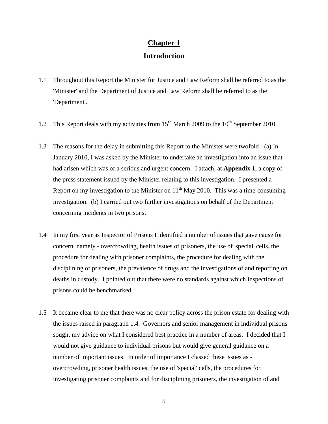# **Chapter 1 Introduction**

- 1.1 Throughout this Report the Minister for Justice and Law Reform shall be referred to as the 'Minister' and the Department of Justice and Law Reform shall be referred to as the 'Department'.
- 1.2 This Report deals with my activities from  $15<sup>th</sup>$  March 2009 to the  $10<sup>th</sup>$  September 2010.
- 1.3 The reasons for the delay in submitting this Report to the Minister were twofold (a) In January 2010, I was asked by the Minister to undertake an investigation into an issue that had arisen which was of a serious and urgent concern. I attach, at **Appendix 1**, a copy of the press statement issued by the Minister relating to this investigation. I presented a Report on my investigation to the Minister on  $11<sup>th</sup>$  May 2010. This was a time-consuming investigation. (b) I carried out two further investigations on behalf of the Department concerning incidents in two prisons.
- 1.4 In my first year as Inspector of Prisons I identified a number of issues that gave cause for concern, namely - overcrowding, health issues of prisoners, the use of 'special' cells, the procedure for dealing with prisoner complaints, the procedure for dealing with the disciplining of prisoners, the prevalence of drugs and the investigations of and reporting on deaths in custody. I pointed out that there were no standards against which inspections of prisons could be benchmarked.
- 1.5 It became clear to me that there was no clear policy across the prison estate for dealing with the issues raised in paragraph 1.4. Governors and senior management in individual prisons sought my advice on what I considered best practice in a number of areas. I decided that I would not give guidance to individual prisons but would give general guidance on a number of important issues. In order of importance I classed these issues as overcrowding, prisoner health issues, the use of 'special' cells, the procedures for investigating prisoner complaints and for disciplining prisoners, the investigation of and

5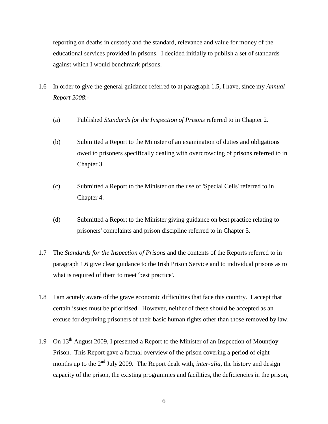reporting on deaths in custody and the standard, relevance and value for money of the educational services provided in prisons. I decided initially to publish a set of standards against which I would benchmark prisons.

- 1.6 In order to give the general guidance referred to at paragraph 1.5, I have, since my *Annual Report 2008*:-
	- (a) Published *Standards for the Inspection of Prisons* referred to in Chapter 2.
	- (b) Submitted a Report to the Minister of an examination of duties and obligations owed to prisoners specifically dealing with overcrowding of prisons referred to in Chapter 3.
	- (c) Submitted a Report to the Minister on the use of 'Special Cells' referred to in Chapter 4.
	- (d) Submitted a Report to the Minister giving guidance on best practice relating to prisoners' complaints and prison discipline referred to in Chapter 5.
- 1.7 The *Standards for the Inspection of Prisons* and the contents of the Reports referred to in paragraph 1.6 give clear guidance to the Irish Prison Service and to individual prisons as to what is required of them to meet 'best practice'.
- 1.8 I am acutely aware of the grave economic difficulties that face this country. I accept that certain issues must be prioritised. However, neither of these should be accepted as an excuse for depriving prisoners of their basic human rights other than those removed by law.
- 1.9 On  $13<sup>th</sup>$  August 2009, I presented a Report to the Minister of an Inspection of Mountjoy Prison. This Report gave a factual overview of the prison covering a period of eight months up to the 2<sup>nd</sup> July 2009. The Report dealt with, *inter-alia*, the history and design capacity of the prison, the existing programmes and facilities, the deficiencies in the prison,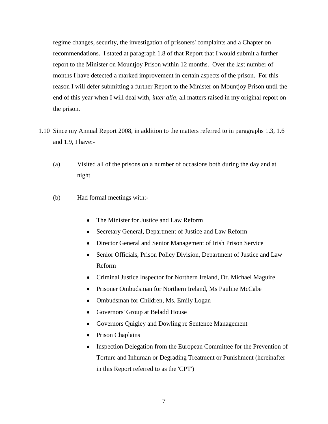regime changes, security, the investigation of prisoners' complaints and a Chapter on recommendations. I stated at paragraph 1.8 of that Report that I would submit a further report to the Minister on Mountjoy Prison within 12 months. Over the last number of months I have detected a marked improvement in certain aspects of the prison. For this reason I will defer submitting a further Report to the Minister on Mountjoy Prison until the end of this year when I will deal with, *inter alia,* all matters raised in my original report on the prison.

- 1.10 Since my Annual Report 2008, in addition to the matters referred to in paragraphs 1.3, 1.6 and 1.9, I have:-
	- (a) Visited all of the prisons on a number of occasions both during the day and at night.
	- (b) Had formal meetings with:-
		- The Minister for Justice and Law Reform
		- Secretary General, Department of Justice and Law Reform
		- Director General and Senior Management of Irish Prison Service
		- Senior Officials, Prison Policy Division, Department of Justice and Law Reform
		- Criminal Justice Inspector for Northern Ireland, Dr. Michael Maguire
		- Prisoner Ombudsman for Northern Ireland, Ms Pauline McCabe  $\bullet$
		- Ombudsman for Children, Ms. Emily Logan
		- Governors' Group at Beladd House
		- Governors Quigley and Dowling re Sentence Management
		- Prison Chaplains
		- $\bullet$ Inspection Delegation from the European Committee for the Prevention of Torture and Inhuman or Degrading Treatment or Punishment (hereinafter in this Report referred to as the 'CPT')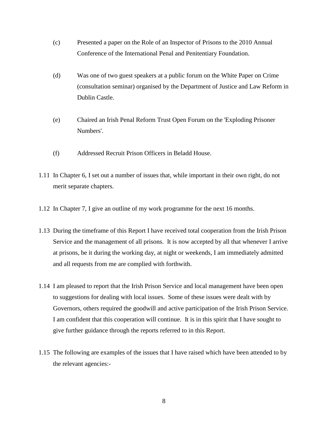- (c) Presented a paper on the Role of an Inspector of Prisons to the 2010 Annual Conference of the International Penal and Penitentiary Foundation.
- (d) Was one of two guest speakers at a public forum on the White Paper on Crime (consultation seminar) organised by the Department of Justice and Law Reform in Dublin Castle.
- (e) Chaired an Irish Penal Reform Trust Open Forum on the 'Exploding Prisoner Numbers'.
- (f) Addressed Recruit Prison Officers in Beladd House.
- 1.11 In Chapter 6, I set out a number of issues that, while important in their own right, do not merit separate chapters.
- 1.12 In Chapter 7, I give an outline of my work programme for the next 16 months.
- 1.13 During the timeframe of this Report I have received total cooperation from the Irish Prison Service and the management of all prisons. It is now accepted by all that whenever I arrive at prisons, be it during the working day, at night or weekends, I am immediately admitted and all requests from me are complied with forthwith.
- 1.14 I am pleased to report that the Irish Prison Service and local management have been open to suggestions for dealing with local issues. Some of these issues were dealt with by Governors, others required the goodwill and active participation of the Irish Prison Service. I am confident that this cooperation will continue. It is in this spirit that I have sought to give further guidance through the reports referred to in this Report.
- 1.15 The following are examples of the issues that I have raised which have been attended to by the relevant agencies:-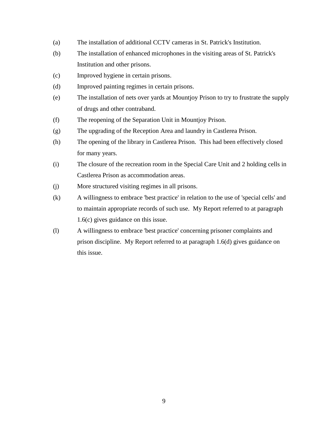- (a) The installation of additional CCTV cameras in St. Patrick's Institution.
- (b) The installation of enhanced microphones in the visiting areas of St. Patrick's Institution and other prisons.
- (c) Improved hygiene in certain prisons.
- (d) Improved painting regimes in certain prisons.
- (e) The installation of nets over yards at Mountjoy Prison to try to frustrate the supply of drugs and other contraband.
- (f) The reopening of the Separation Unit in Mountjoy Prison.
- (g) The upgrading of the Reception Area and laundry in Castlerea Prison.
- (h) The opening of the library in Castlerea Prison. This had been effectively closed for many years.
- (i) The closure of the recreation room in the Special Care Unit and 2 holding cells in Castlerea Prison as accommodation areas.
- (j) More structured visiting regimes in all prisons.
- (k) A willingness to embrace 'best practice' in relation to the use of 'special cells' and to maintain appropriate records of such use. My Report referred to at paragraph 1.6(c) gives guidance on this issue.
- (l) A willingness to embrace 'best practice' concerning prisoner complaints and prison discipline. My Report referred to at paragraph 1.6(d) gives guidance on this issue.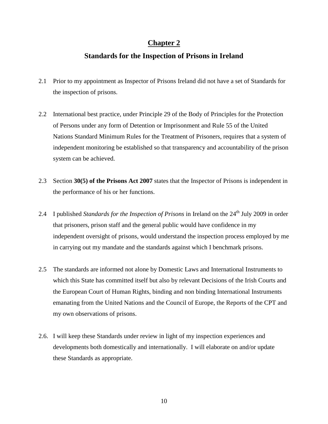# **Standards for the Inspection of Prisons in Ireland**

- 2.1 Prior to my appointment as Inspector of Prisons Ireland did not have a set of Standards for the inspection of prisons.
- 2.2 International best practice, under Principle 29 of the Body of Principles for the Protection of Persons under any form of Detention or Imprisonment and Rule 55 of the United Nations Standard Minimum Rules for the Treatment of Prisoners, requires that a system of independent monitoring be established so that transparency and accountability of the prison system can be achieved.
- 2.3 Section **30(5) of the Prisons Act 2007** states that the Inspector of Prisons is independent in the performance of his or her functions.
- 2.4 I published *Standards for the Inspection of Prisons* in Ireland on the 24<sup>th</sup> July 2009 in order that prisoners, prison staff and the general public would have confidence in my independent oversight of prisons, would understand the inspection process employed by me in carrying out my mandate and the standards against which I benchmark prisons.
- 2.5 The standards are informed not alone by Domestic Laws and International Instruments to which this State has committed itself but also by relevant Decisions of the Irish Courts and the European Court of Human Rights, binding and non binding International Instruments emanating from the United Nations and the Council of Europe, the Reports of the CPT and my own observations of prisons.
- 2.6. I will keep these Standards under review in light of my inspection experiences and developments both domestically and internationally. I will elaborate on and/or update these Standards as appropriate.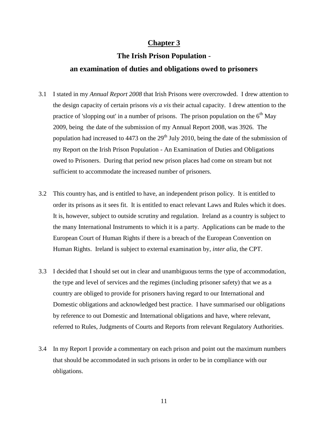## **The Irish Prison Population** -

### **an examination of duties and obligations owed to prisoners**

- 3.1 I stated in my *Annual Report 2008* that Irish Prisons were overcrowded. I drew attention to the design capacity of certain prisons *vis a vis* their actual capacity. I drew attention to the practice of 'slopping out' in a number of prisons. The prison population on the  $6<sup>th</sup>$  May 2009, being the date of the submission of my Annual Report 2008, was 3926. The population had increased to 4473 on the  $29<sup>th</sup>$  July 2010, being the date of the submission of my Report on the Irish Prison Population - An Examination of Duties and Obligations owed to Prisoners. During that period new prison places had come on stream but not sufficient to accommodate the increased number of prisoners.
- 3.2 This country has, and is entitled to have, an independent prison policy. It is entitled to order its prisons as it sees fit. It is entitled to enact relevant Laws and Rules which it does. It is, however, subject to outside scrutiny and regulation. Ireland as a country is subject to the many International Instruments to which it is a party. Applications can be made to the European Court of Human Rights if there is a breach of the European Convention on Human Rights. Ireland is subject to external examination by, *inter alia*, the CPT.
- 3.3 I decided that I should set out in clear and unambiguous terms the type of accommodation, the type and level of services and the regimes (including prisoner safety) that we as a country are obliged to provide for prisoners having regard to our International and Domestic obligations and acknowledged best practice. I have summarised our obligations by reference to out Domestic and International obligations and have, where relevant, referred to Rules, Judgments of Courts and Reports from relevant Regulatory Authorities.
- 3.4 In my Report I provide a commentary on each prison and point out the maximum numbers that should be accommodated in such prisons in order to be in compliance with our obligations.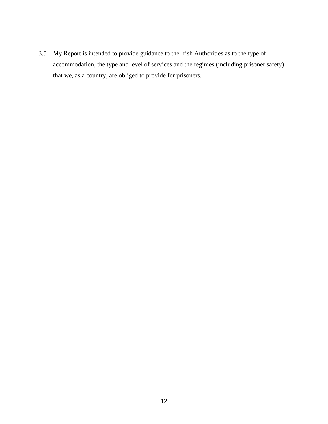3.5 My Report is intended to provide guidance to the Irish Authorities as to the type of accommodation, the type and level of services and the regimes (including prisoner safety) that we, as a country, are obliged to provide for prisoners.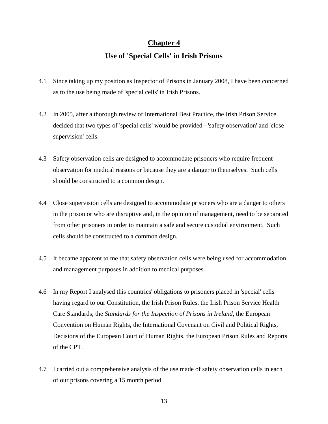# **Use of 'Special Cells' in Irish Prisons**

- 4.1 Since taking up my position as Inspector of Prisons in January 2008, I have been concerned as to the use being made of 'special cells' in Irish Prisons.
- 4.2 In 2005, after a thorough review of International Best Practice, the Irish Prison Service decided that two types of 'special cells' would be provided - 'safety observation' and 'close supervision' cells.
- 4.3 Safety observation cells are designed to accommodate prisoners who require frequent observation for medical reasons or because they are a danger to themselves. Such cells should be constructed to a common design.
- 4.4 Close supervision cells are designed to accommodate prisoners who are a danger to others in the prison or who are disruptive and, in the opinion of management, need to be separated from other prisoners in order to maintain a safe and secure custodial environment. Such cells should be constructed to a common design.
- 4.5 It became apparent to me that safety observation cells were being used for accommodation and management purposes in addition to medical purposes.
- 4.6 In my Report I analysed this countries' obligations to prisoners placed in 'special' cells having regard to our Constitution, the Irish Prison Rules, the Irish Prison Service Health Care Standards, the *Standards for the Inspection of Prisons in Ireland,* the European Convention on Human Rights, the International Covenant on Civil and Political Rights, Decisions of the European Court of Human Rights, the European Prison Rules and Reports of the CPT.
- 4.7 I carried out a comprehensive analysis of the use made of safety observation cells in each of our prisons covering a 15 month period.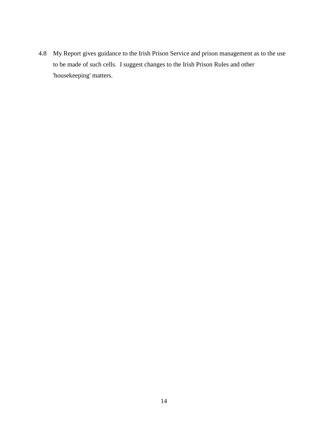4.8 My Report gives guidance to the Irish Prison Service and prison management as to the use to be made of such cells. I suggest changes to the Irish Prison Rules and other 'housekeeping' matters.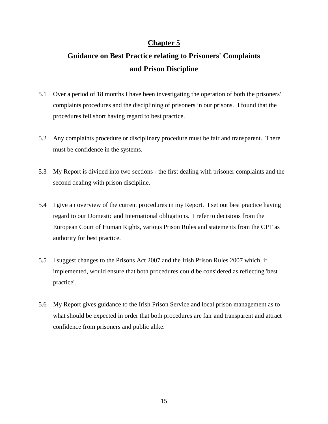# **Guidance on Best Practice relating to Prisoners' Complaints and Prison Discipline**

- 5.1 Over a period of 18 months I have been investigating the operation of both the prisoners' complaints procedures and the disciplining of prisoners in our prisons. I found that the procedures fell short having regard to best practice.
- 5.2 Any complaints procedure or disciplinary procedure must be fair and transparent. There must be confidence in the systems.
- 5.3 My Report is divided into two sections the first dealing with prisoner complaints and the second dealing with prison discipline.
- 5.4 I give an overview of the current procedures in my Report. I set out best practice having regard to our Domestic and International obligations. I refer to decisions from the European Court of Human Rights, various Prison Rules and statements from the CPT as authority for best practice.
- 5.5 I suggest changes to the Prisons Act 2007 and the Irish Prison Rules 2007 which, if implemented, would ensure that both procedures could be considered as reflecting 'best practice'.
- 5.6 My Report gives guidance to the Irish Prison Service and local prison management as to what should be expected in order that both procedures are fair and transparent and attract confidence from prisoners and public alike.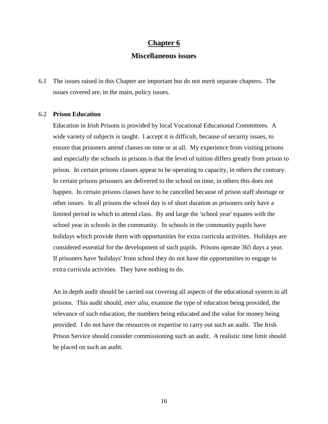### **Miscellaneous issues**

6.1 The issues raised in this Chapter are important but do not merit separate chapters. The issues covered are, in the main, policy issues.

#### 6.2 **Prison Education**

Education in Irish Prisons is provided by local Vocational Educational Committees. A wide variety of subjects is taught. I accept it is difficult, because of security issues, to ensure that prisoners attend classes on time or at all. My experience from visiting prisons and especially the schools in prisons is that the level of tuition differs greatly from prison to prison. In certain prisons classes appear to be operating to capacity, in others the contrary. In certain prisons prisoners are delivered to the school on time, in others this does not happen. In certain prisons classes have to be cancelled because of prison staff shortage or other issues. In all prisons the school day is of short duration as prisoners only have a limited period in which to attend class. By and large the 'school year' equates with the school year in schools in the community. In schools in the community pupils have holidays which provide them with opportunities for extra curricula activities. Holidays are considered essential for the development of such pupils. Prisons operate 365 days a year. If prisoners have 'holidays' from school they do not have the opportunities to engage in extra curricula activities. They have nothing to do.

An in depth audit should be carried out covering all aspects of the educational system in all prisons. This audit should, *inter alia*, examine the type of education being provided, the relevance of such education, the numbers being educated and the value for money being provided. I do not have the resources or expertise to carry out such an audit. The Irish Prison Service should consider commissioning such an audit. A realistic time limit should be placed on such an audit.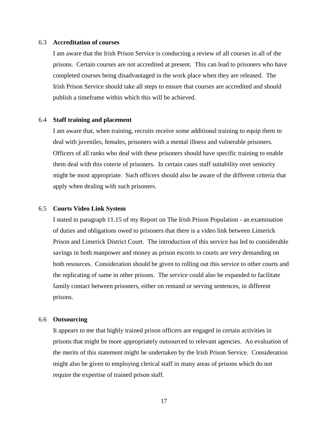#### 6.3 **Accreditation of courses**

I am aware that the Irish Prison Service is conducting a review of all courses in all of the prisons. Certain courses are not accredited at present. This can lead to prisoners who have completed courses being disadvantaged in the work place when they are released. The Irish Prison Service should take all steps to ensure that courses are accredited and should publish a timeframe within which this will be achieved.

#### 6.4 **Staff training and placement**

I am aware that, when training, recruits receive some additional training to equip them to deal with juveniles, females, prisoners with a mental illness and vulnerable prisoners. Officers of all ranks who deal with these prisoners should have specific training to enable them deal with this coterie of prisoners. In certain cases staff suitability over seniority might be most appropriate. Such officers should also be aware of the different criteria that apply when dealing with such prisoners.

#### 6.5 **Courts Video Link System**

I stated in paragraph 11.15 of my Report on The Irish Prison Population - an examination of duties and obligations owed to prisoners that there is a video link between Limerick Prison and Limerick District Court. The introduction of this service has led to considerable savings in both manpower and money as prison escorts to courts are very demanding on both resources. Consideration should be given to rolling out this service to other courts and the replicating of same in other prisons. The service could also be expanded to facilitate family contact between prisoners, either on remand or serving sentences, in different prisons.

#### 6.6 **Outsourcing**

It appears to me that highly trained prison officers are engaged in certain activities in prisons that might be more appropriately outsourced to relevant agencies. An evaluation of the merits of this statement might be undertaken by the Irish Prison Service. Consideration might also be given to employing clerical staff in many areas of prisons which do not require the expertise of trained prison staff.

17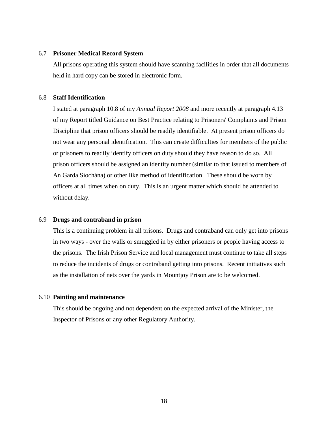#### 6.7 **Prisoner Medical Record System**

All prisons operating this system should have scanning facilities in order that all documents held in hard copy can be stored in electronic form.

#### 6.8 **Staff Identification**

I stated at paragraph 10.8 of my *Annual Report 2008* and more recently at paragraph 4.13 of my Report titled Guidance on Best Practice relating to Prisoners' Complaints and Prison Discipline that prison officers should be readily identifiable. At present prison officers do not wear any personal identification. This can create difficulties for members of the public or prisoners to readily identify officers on duty should they have reason to do so. All prison officers should be assigned an identity number (similar to that issued to members of An Garda Síochána) or other like method of identification. These should be worn by officers at all times when on duty. This is an urgent matter which should be attended to without delay.

#### 6.9 **Drugs and contraband in prison**

This is a continuing problem in all prisons. Drugs and contraband can only get into prisons in two ways - over the walls or smuggled in by either prisoners or people having access to the prisons. The Irish Prison Service and local management must continue to take all steps to reduce the incidents of drugs or contraband getting into prisons. Recent initiatives such as the installation of nets over the yards in Mountjoy Prison are to be welcomed.

#### 6.10 **Painting and maintenance**

This should be ongoing and not dependent on the expected arrival of the Minister, the Inspector of Prisons or any other Regulatory Authority.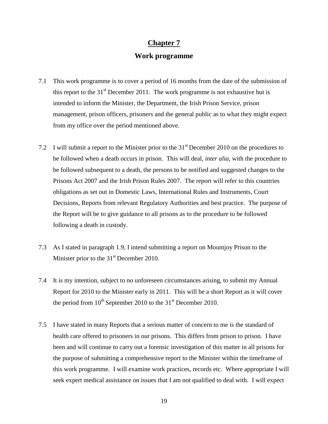# **Work programme**

- 7.1 This work programme is to cover a period of 16 months from the date of the submission of this report to the  $31<sup>st</sup>$  December 2011. The work programme is not exhaustive but is intended to inform the Minister, the Department, the Irish Prison Service, prison management, prison officers, prisoners and the general public as to what they might expect from my office over the period mentioned above.
- 7.2 I will submit a report to the Minister prior to the  $31<sup>st</sup>$  December 2010 on the procedures to be followed when a death occurs in prison. This will deal, *inter alia,* with the procedure to be followed subsequent to a death, the persons to be notified and suggested changes to the Prisons Act 2007 and the Irish Prison Rules 2007. The report will refer to this countries obligations as set out in Domestic Laws, International Rules and Instruments, Court Decisions, Reports from relevant Regulatory Authorities and best practice. The purpose of the Report will be to give guidance to all prisons as to the procedure to be followed following a death in custody.
- 7.3 As I stated in paragraph 1.9, I intend submitting a report on Mountjoy Prison to the Minister prior to the  $31<sup>st</sup>$  December 2010.
- 7.4 It is my intention, subject to no unforeseen circumstances arising, to submit my Annual Report for 2010 to the Minister early in 2011. This will be a short Report as it will cover the period from  $10^{th}$  September 2010 to the 31<sup>st</sup> December 2010.
- 7.5 I have stated in many Reports that a serious matter of concern to me is the standard of health care offered to prisoners in our prisons. This differs from prison to prison. I have been and will continue to carry out a forensic investigation of this matter in all prisons for the purpose of submitting a comprehensive report to the Minister within the timeframe of this work programme. I will examine work practices, records etc. Where appropriate I will seek expert medical assistance on issues that I am not qualified to deal with. I will expect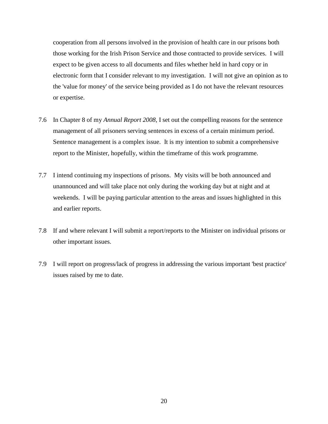cooperation from all persons involved in the provision of health care in our prisons both those working for the Irish Prison Service and those contracted to provide services. I will expect to be given access to all documents and files whether held in hard copy or in electronic form that I consider relevant to my investigation. I will not give an opinion as to the 'value for money' of the service being provided as I do not have the relevant resources or expertise.

- 7.6 In Chapter 8 of my *Annual Report 2008*, I set out the compelling reasons for the sentence management of all prisoners serving sentences in excess of a certain minimum period. Sentence management is a complex issue. It is my intention to submit a comprehensive report to the Minister, hopefully, within the timeframe of this work programme.
- 7.7 I intend continuing my inspections of prisons. My visits will be both announced and unannounced and will take place not only during the working day but at night and at weekends. I will be paying particular attention to the areas and issues highlighted in this and earlier reports.
- 7.8 If and where relevant I will submit a report/reports to the Minister on individual prisons or other important issues.
- 7.9 I will report on progress/lack of progress in addressing the various important 'best practice' issues raised by me to date.